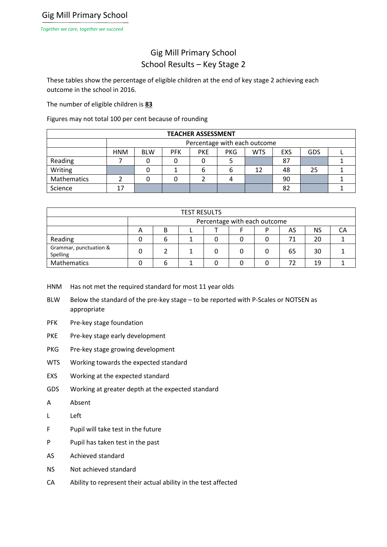## Gig Mill Primary School School Results – Key Stage 2

These tables show the percentage of eligible children at the end of key stage 2 achieving each outcome in the school in 2016.

The number of eligible children is **83**

Figures may not total 100 per cent because of rounding

| <b>TEACHER ASSESSMENT</b> |                              |            |            |            |            |            |            |     |  |  |  |
|---------------------------|------------------------------|------------|------------|------------|------------|------------|------------|-----|--|--|--|
|                           | Percentage with each outcome |            |            |            |            |            |            |     |  |  |  |
|                           | <b>HNM</b>                   | <b>BLW</b> | <b>PFK</b> | <b>PKE</b> | <b>PKG</b> | <b>WTS</b> | <b>EXS</b> | GDS |  |  |  |
| Reading                   |                              |            |            |            |            |            | 87         |     |  |  |  |
| Writing                   |                              |            |            | b          | b          | 12         | 48         | 25  |  |  |  |
| Mathematics               |                              |            |            |            |            |            | 90         |     |  |  |  |
| Science                   | 17                           |            |            |            |            |            | 82         |     |  |  |  |

| <b>TEST RESULTS</b>                |                              |   |  |  |  |   |    |    |  |  |
|------------------------------------|------------------------------|---|--|--|--|---|----|----|--|--|
|                                    | Percentage with each outcome |   |  |  |  |   |    |    |  |  |
|                                    | А                            | в |  |  |  | D | AS | ΝS |  |  |
| Reading                            |                              | b |  |  |  |   | 71 | 20 |  |  |
| Grammar, punctuation &<br>Spelling |                              |   |  |  |  |   | 65 | 30 |  |  |
| <b>Mathematics</b>                 |                              | ∽ |  |  |  |   |    | 19 |  |  |

HNM Has not met the required standard for most 11 year olds

- BLW Below the standard of the pre-key stage to be reported with P-Scales or NOTSEN as appropriate
- PFK Pre-key stage foundation
- PKE Pre-key stage early development
- PKG Pre-key stage growing development
- WTS Working towards the expected standard
- EXS Working at the expected standard
- GDS Working at greater depth at the expected standard
- A Absent
- L Left
- F Pupil will take test in the future
- P Pupil has taken test in the past
- AS Achieved standard
- NS Not achieved standard
- CA Ability to represent their actual ability in the test affected